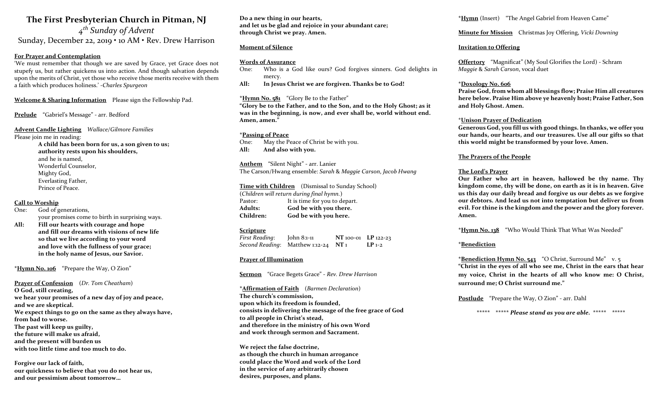# The First Presbyterian Church in Pitman, NJ

4<sup>th</sup> Sunday of Advent Sunday, December 22, 2019 • 10 AM • Rev. Drew Harrison

### For Prayer and Contemplation

'We must remember that though we are saved by Grace, yet Grace does not stupefy us, but rather quickens us into action. And though salvation depends upon the merits of Christ, yet those who receive those merits receive with them a faith which produces holiness.' -Charles Spurgeon

Welcome & Sharing Information Please sign the Fellowship Pad.

Prelude "Gabriel's Message" - arr. Bedford

#### Advent Candle Lighting Wallace/Gilmore Families Please join me in reading:

A child has been born for us, a son given to us; authority rests upon his shoulders, and he is named, Wonderful Counselor, Mighty God, Everlasting Father, Prince of Peace.

#### Call to Worship

One: God of generations, your promises come to birth in surprising ways.

All: Fill our hearts with courage and hope and fill our dreams with visions of new life so that we live according to your word and love with the fullness of your grace; in the holy name of Jesus, our Savior.

\*Hymn No. 106 "Prepare the Way, O Zion"

Prayer of Confession (Dr. Tom Cheatham) O God, still creating, we hear your promises of a new day of joy and peace, and we are skeptical. We expect things to go on the same as they always have, from bad to worse. The past will keep us guilty, the future will make us afraid, and the present will burden us with too little time and too much to do.

Forgive our lack of faith, our quickness to believe that you do not hear us, and our pessimism about tomorrow…

Do a new thing in our hearts, and let us be glad and rejoice in your abundant care; through Christ we pray. Amen.

## Moment of Silence

#### Words of Assurance

- One: Who is a God like ours? God forgives sinners. God delights in mercy.
- All: In Jesus Christ we are forgiven. Thanks be to God!

#### \*Hymn No. 581 "Glory Be to the Father"

"Glory be to the Father, and to the Son, and to the Holy Ghost; as it was in the beginning, is now, and ever shall be, world without end. Amen, amen."

#### \*Passing of Peace

One: May the Peace of Christ be with you. All: And also with you.

Anthem "Silent Night" - arr. Lanier The Carson/Hwang ensemble: Sarah & Maggie Carson, Jacob Hwang

#### Time with Children (Dismissal to Sunday School)

(Children will return during final hymn.) Pastor: It is time for you to depart. Adults: God be with you there. Children: God be with you here.

#### **Scripture**

First Reading: John 8:1-11 NT 100-01 LP 122-23 Second Reading: Matthew 1:12-24  $NT_1$  LP 1-2

#### Prayer of Illumination

Sermon "Grace Begets Grace" - Rev. Drew Harrison

\*Affirmation of Faith (Barmen Declaration) The church's commission, upon which its freedom is founded, consists in delivering the message of the free grace of God to all people in Christ's stead, and therefore in the ministry of his own Word and work through sermon and Sacrament.

We reject the false doctrine, as though the church in human arrogance could place the Word and work of the Lord in the service of any arbitrarily chosen desires, purposes, and plans.

\*Hymn (Insert) "The Angel Gabriel from Heaven Came"

### Minute for Mission Christmas Joy Offering, Vicki Downing

### Invitation to Offering

Offertory "Magnificat" (My Soul Glorifies the Lord) - Schram Maggie & Sarah Carson, vocal duet

#### \*Doxology No. 606

Praise God, from whom all blessings flow; Praise Him all creatures here below. Praise Him above ye heavenly host; Praise Father, Son and Holy Ghost. Amen.

#### \*Unison Prayer of Dedication

Generous God, you fill us with good things. In thanks, we offer you our hands, our hearts, and our treasures. Use all our gifts so that this world might be transformed by your love. Amen.

#### The Prayers of the People

#### The Lord's Prayer

Our Father who art in heaven, hallowed be thy name. Thy kingdom come, thy will be done, on earth as it is in heaven. Give us this day our daily bread and forgive us our debts as we forgive our debtors. And lead us not into temptation but deliver us from evil. For thine is the kingdom and the power and the glory forever. Amen.

\*Hymn No. 138 "Who Would Think That What Was Needed"

## \*Benediction

\*Benediction Hymn No. 543 "O Christ, Surround Me" v. 5 "Christ in the eyes of all who see me, Christ in the ears that hear my voice, Christ in the hearts of all who know me: O Christ, surround me; O Christ surround me."

Postlude "Prepare the Way, O Zion" - arr. Dahl

\*\*\*\*\* \*\*\*\*\* Please stand as you are able. \*\*\*\*\* \*\*\*\*\*